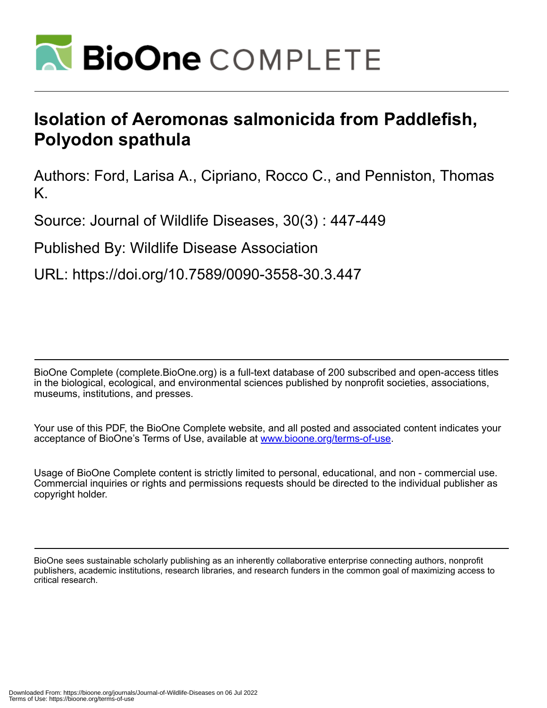

## **Isolation of Aeromonas salmonicida from Paddlefish, Polyodon spathula**

Authors: Ford, Larisa A., Cipriano, Rocco C., and Penniston, Thomas K.

Source: Journal of Wildlife Diseases, 30(3) : 447-449

Published By: Wildlife Disease Association

URL: https://doi.org/10.7589/0090-3558-30.3.447

BioOne Complete (complete.BioOne.org) is a full-text database of 200 subscribed and open-access titles in the biological, ecological, and environmental sciences published by nonprofit societies, associations, museums, institutions, and presses.

Your use of this PDF, the BioOne Complete website, and all posted and associated content indicates your acceptance of BioOne's Terms of Use, available at www.bioone.org/terms-of-use.

Usage of BioOne Complete content is strictly limited to personal, educational, and non - commercial use. Commercial inquiries or rights and permissions requests should be directed to the individual publisher as copyright holder.

BioOne sees sustainable scholarly publishing as an inherently collaborative enterprise connecting authors, nonprofit publishers, academic institutions, research libraries, and research funders in the common goal of maximizing access to critical research.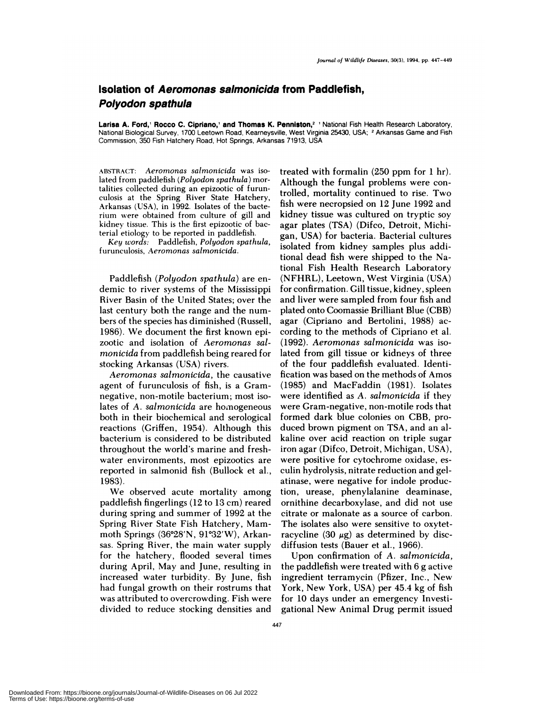## **Isolation of Aeromonas salmonicida from Paddlefish, Polyodon spathula**

**Larisa A.Ford,' Rocco C. Cipriano,' and Thomas K. Penniston,2** 'National Fish Health Research Laboratory, National Biological Survey, 1700 Leetown Road, Kearneysville, West Virginia 25430, USA; **2** Arkansas Game and Fish Commission, 350 Fish Hatchery Road, Hot Springs, Arkansas 71913, USA

ABSTRACT: *Aeromonas salmonicida* was isolated from paddlefish *(Polyodon spathula)* mortalities collected during an epizootic of furun culosis at the Spring River State Hatchery, Arkansas (USA), in 1992. Isolates of the bacterium were obtained from culture of gill and kidney tissue. This is the first epizootic of bacterial etiology to be reported in paddlefish.

*Key words:* Paddlefish, *Polyodon spathula,* furunculosis, *Aeromonas salmonicida.*

Paddlefish *(Polyodon spathula)* are en demic to river systems of the Mississippi River Basin of the United States; over the last century both the range and the num bers of the species has diminished (Russell, 1986). We document the first known epizootic and isolation of *Aeromonas salmonicida* from paddlefish being reared for stocking Arkansas (USA) rivers.

*Aeromonas salmonicida* **,** the causative agent of furunculosis of fish, is a Gramnegative, non-motile bacterium; most isolates of *A. salmonicida* are honogeneous both in their biochemical and serological reactions (Griffen, 1954). Although this bacterium is considered to be distributed throughout the world's marine and fresh water environments, most epizootics are reported in salmonid fish (Bullock et al., 1983).

We observed acute mortality among paddlefish fingerlings (12 to 13 cm) reared during spring and summer of 1992 at the Spring River State Fish Hatchery, Mammoth Springs  $(36°28'N, 91°32'W)$ , Arkansas. Spring River, the main water supply for the hatchery, flooded several times during April, May and June, resulting in increased water turbidity. By June, fish had fungal growth on their rostrums that was attributed to overcrowding. Fish were divided to reduce stocking densities and

treated with formalin  $(250$  ppm for 1 hr). Although the fungal problems were controlled, mortality continued to rise. Two fish were necnopsied on 12 June 1992 and kidney tissue was cultured on tryptic soy agan plates (TSA) (Difco, Detroit, Michigan, USA) for bacteria. Bacterial cultures isolated from kidney samples plus additional dead fish were shipped to the National Fish Health Research Laboratory (NFHRL), Leetown, West Virginia (USA) for confirmation. Gill tissue, kidney, spleen and liver were sampled from four fish and plated onto Coomassie Brilliant Blue (CBB) agar (Cipniano and Bertolini, 1988) ac cording to the methods of Cipriano et al. (1992). *Aeromonas salmonicida* was iso lated from gill tissue or kidneys of three of the four paddlefish evaluated. Identification was based on the methods of Amos (1985) and MacFaddin (1981). Isolates were identified as *A. salmonicida* if they were Gram-negative, non-motile rods that formed dark blue colonies on CBB, produced brown pigment on TSA, and an alkaline oven acid reaction on triple sugar iron agar (Difco, Detroit, Michigan, USA), were positive for cytochrome oxidase, es culin hydrolysis, nitrate reduction and gelatinase, were negative for indole production, urease, phenylalanine deaminase, ornithine decanboxylase, and did not use citrate on malonate as a source of carbon. The isolates also were sensitive to oxytetracycline (30  $\mu$ g) as determined by discdiffusion tests (Bauer et al., 1966).

Upon confirmation of *A. salmonicida,* the paddlefish were treated with 6 g active ingredient terramycin (Pfizer, Inc., New York, New York, USA) per 45.4 kg of fish for 10 days under an emergency Investigational New Animal Drug permit issued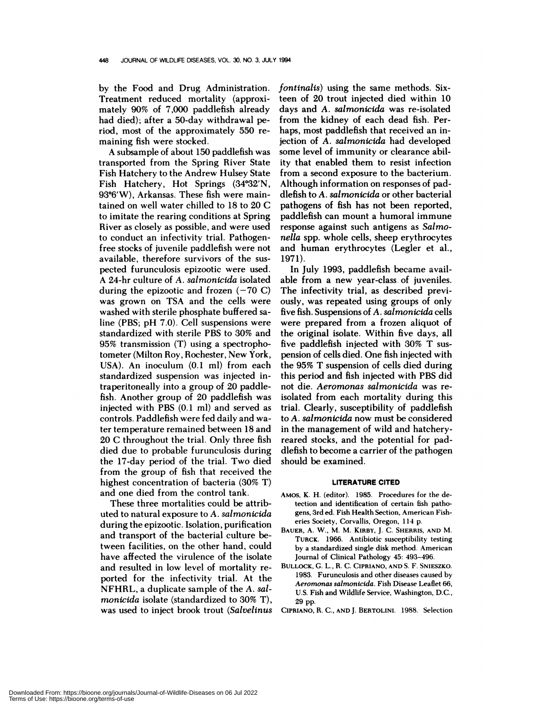by the Food and Drug Administration. Treatment reduced mortality (approximately 90% of 7,000 paddlefish already had died); after a 50-day withdrawal period, most of the approximately 550 remaining fish were stocked.

A subsample of about 150 paddlefish was transported from the Spring Riven State Fish Hatchery to the Andrew Hulsey State Fish Hatchery, Hot Springs (34°32'N, 93°6'W), Arkansas. These fish were maintained on well water chilled to 18 to 20 C to imitate the rearing conditions at Spring Riven as closely as possible, and were used to conduct an infectivity trial. Pathogenfree stocks of juvenile paddlefish were not available, therefore survivors of the sus pected fununculosis epizootic were used. A 24-hr culture of *A. salmonicida* isolated during the epizootic and frozen (-70 C) was grown on TSA and the cells were washed with sterile phosphate buffered saline (PBS; pH 7.0). Cell suspensions were standardized with sterile PBS to 30% and 95% transmission (T) using a spectrophotometer (Milton Roy, Rochester, New York, USA). An inoculum (0.1 ml) from each standardized suspension was injected intrapenitoneally into a group of 20 paddlefish. Another group of 20 paddlefish was injected with PBS (0.1 ml) and served as controls. Paddlefish were fed daily and water temperature remained between 18 and 20 C throughout the trial. Only three fish died due to probable furunculosis during the 17-day period of the trial. Two died from the group of fish that received the highest concentration of bacteria (30% T) and one died from the control tank.

These three mortalities could be attributed to natural exposure to *A. salmonicida* during the epizootic. Isolation, purification and transport of the bacterial culture between facilities, on the other hand, could have affected the virulence of the isolate and resulted in low level of mortality re ported for the infectivity trial. At the NFHRL, a duplicate sample of the A. salmonicida isolate (standardized to 30% T), was used to inject brook trout *(Salvelinus*

*fontinalis)* using the same methods. Sixteen of 20 trout injected died within 10 days and *A. salmonicida* was re-isolated from the kidney of each dead fish. Perhaps, most paddlefish that received an injection of *A. salmonicida* had developed some level of immunity or clearance ability that enabled them to resist infection from a second exposure to the bacterium. Although information on responses of paddlefish to *A. salmonicida* or other bacterial pathogens of fish has not been reported, paddlefish can mount a humoral immune response against such antigens as *Salmonella* spp. whole cells, sheep erythrocytes and human erythrocytes (Legler et al., 1971).

In July 1993, paddlefish became available from a new year-class. of juveniles. The infectivity trial, as described previously, was repeated using groups of only five fish. Suspensions of *A. salmonicida* cells were prepared from a frozen aliquot of the original isolate. Within five days, all five paddlefish injected with 30% T sus pension of cells died. One fish injected with the 95% T suspension of cells died during this period and fish injected with PBS did not die. *Aeromonas salmonicida* was reisolated from each mortality during this trial. Clearly, susceptibility of paddlefish to *A. salmonicida* now must be considered in the management of wild and hatcheryreared stocks, and the potential for paddlefish to become a carrier of the pathogen should be examined.

## **LITERATURE CITED**

- **AMOS, K. H.** (editor). 1985. Procedures forthe detection and identification of certain fish patho **gens,** 3rd ed.Fish Health **Section, American** Fish eries Society, Corvallis, Oregon, 114 p.
- **BAUER, A. W., M. M. KIRBY,** J. **C. SHERRIS, AND M. TURCK.** 1966. Antibiotic susceptibility testing by a standardized single disk method. American Journal of Clinical Pathology 45: 493-496.
- **BULLOCK, G. L., R. C. CIPRIANO, AND** S. F. **SNIESZKO.** 1983. Furunculosis and other diseases caused by *Aeromonas salmonicida.* Fish Disease Leaflet 66, U.S. Fish and Wildlife Service, Washington, D.C., 29 pp.

**CIPRIANO, R. C., AND** J. **BERTOLINI.** 1988. Selection